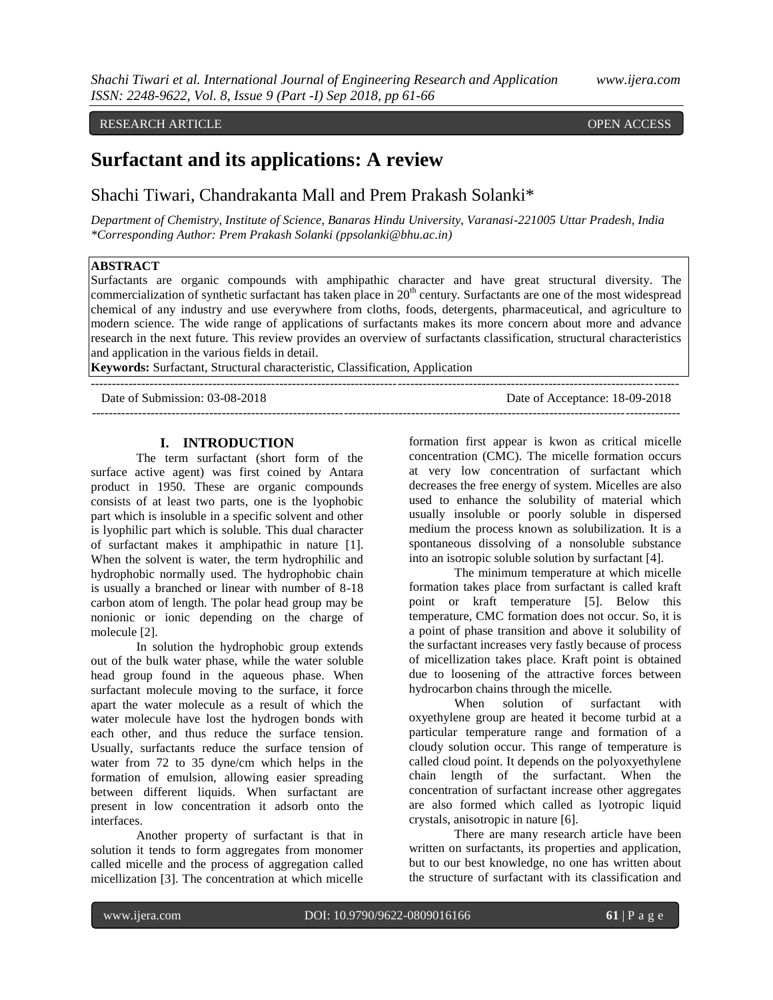# RESEARCH ARTICLE OPEN ACCESS

# **Surfactant and its applications: A review**

Shachi Tiwari, Chandrakanta Mall and Prem Prakash Solanki\*

*Department of Chemistry, Institute of Science, Banaras Hindu University, Varanasi-221005 Uttar Pradesh, India \*Corresponding Author: Prem Prakash Solanki (ppsolanki@bhu.ac.in)*

# **ABSTRACT**

Surfactants are organic compounds with amphipathic character and have great structural diversity. The commercialization of synthetic surfactant has taken place in  $20<sup>th</sup>$  century. Surfactants are one of the most widespread chemical of any industry and use everywhere from cloths, foods, detergents, pharmaceutical, and agriculture to modern science. The wide range of applications of surfactants makes its more concern about more and advance research in the next future. This review provides an overview of surfactants classification, structural characteristics and application in the various fields in detail.

--------------------------------------------------------------------------------------------------------------------------------------------

--------------------------------------------------------------------------------------------------------------------------------------------

**Keywords:** Surfactant, Structural characteristic, Classification, Application

Date of Submission: 03-08-2018 Date of Acceptance: 18-09-2018

#### **I. INTRODUCTION**

The term surfactant (short form of the surface active agent) was first coined by Antara product in 1950. These are organic compounds consists of at least two parts, one is the lyophobic part which is insoluble in a specific solvent and other is lyophilic part which is soluble. This dual character of surfactant makes it amphipathic in nature [1]. When the solvent is water, the term hydrophilic and hydrophobic normally used. The hydrophobic chain is usually a branched or linear with number of 8-18 carbon atom of length. The polar head group may be nonionic or ionic depending on the charge of molecule [2].

In solution the hydrophobic group extends out of the bulk water phase, while the water soluble head group found in the aqueous phase. When surfactant molecule moving to the surface, it force apart the water molecule as a result of which the water molecule have lost the hydrogen bonds with each other, and thus reduce the surface tension. Usually, surfactants reduce the surface tension of water from 72 to 35 dyne/cm which helps in the formation of emulsion, allowing easier spreading between different liquids. When surfactant are present in low concentration it adsorb onto the interfaces.

Another property of surfactant is that in solution it tends to form aggregates from monomer called micelle and the process of aggregation called micellization [3]. The concentration at which micelle

formation first appear is kwon as critical micelle concentration (CMC). The micelle formation occurs at very low concentration of surfactant which decreases the free energy of system. Micelles are also used to enhance the solubility of material which usually insoluble or poorly soluble in dispersed medium the process known as solubilization. It is a spontaneous dissolving of a nonsoluble substance into an isotropic soluble solution by surfactant [4].

The minimum temperature at which micelle formation takes place from surfactant is called kraft point or kraft temperature [5]. Below this temperature, CMC formation does not occur. So, it is a point of phase transition and above it solubility of the surfactant increases very fastly because of process of micellization takes place. Kraft point is obtained due to loosening of the attractive forces between hydrocarbon chains through the micelle.

When solution of surfactant with oxyethylene group are heated it become turbid at a particular temperature range and formation of a cloudy solution occur. This range of temperature is called cloud point. It depends on the polyoxyethylene chain length of the surfactant. When the concentration of surfactant increase other aggregates are also formed which called as lyotropic liquid crystals, anisotropic in nature [6].

There are many research article have been written on surfactants, its properties and application, but to our best knowledge, no one has written about the structure of surfactant with its classification and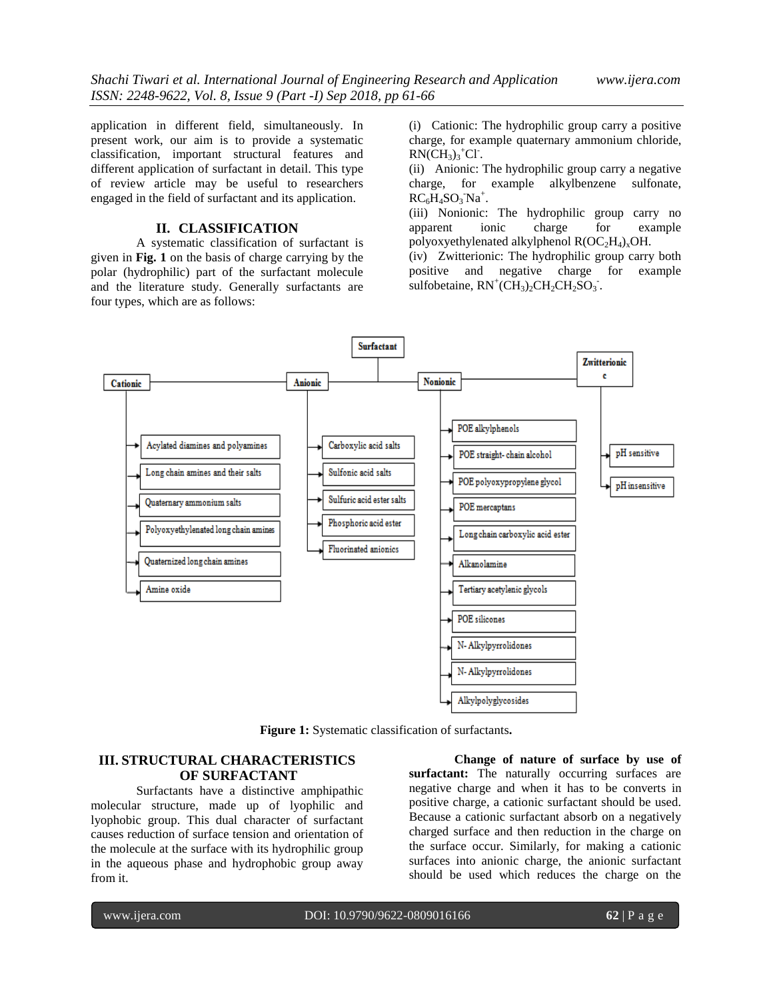application in different field, simultaneously. In present work, our aim is to provide a systematic classification, important structural features and different application of surfactant in detail. This type of review article may be useful to researchers engaged in the field of surfactant and its application.

# **II. CLASSIFICATION**

A systematic classification of surfactant is given in **Fig. 1** on the basis of charge carrying by the polar (hydrophilic) part of the surfactant molecule and the literature study. Generally surfactants are four types, which are as follows:

(i) Cationic: The hydrophilic group carry a positive charge, for example quaternary ammonium chloride,  $RNCH<sub>3</sub>)<sub>3</sub><sup>+</sup>Cl<sup>-</sup>.$ 

(ii) Anionic: The hydrophilic group carry a negative charge, for example alkylbenzene sulfonate,  $RC_6H_4SO_3^-Na^+.$ 

(iii) Nonionic: The hydrophilic group carry no apparent ionic charge for example polyoxyethylenated alkylphenol  $R(OC<sub>2</sub>H<sub>4</sub>)<sub>x</sub>OH.$ 

(iv) Zwitterionic: The hydrophilic group carry both positive and negative charge for example sulfobetaine,  $RN^+(CH_3)_2CH_2CH_2SO_3$ .



**Figure 1:** Systematic classification of surfactants**.**

# **III. STRUCTURAL CHARACTERISTICS OF SURFACTANT**

Surfactants have a distinctive amphipathic molecular structure, made up of lyophilic and lyophobic group. This dual character of surfactant causes reduction of surface tension and orientation of the molecule at the surface with its hydrophilic group in the aqueous phase and hydrophobic group away from it.

**Change of nature of surface by use of surfactant:** The naturally occurring surfaces are negative charge and when it has to be converts in positive charge, a cationic surfactant should be used. Because a cationic surfactant absorb on a negatively charged surface and then reduction in the charge on the surface occur. Similarly, for making a cationic surfaces into anionic charge, the anionic surfactant should be used which reduces the charge on the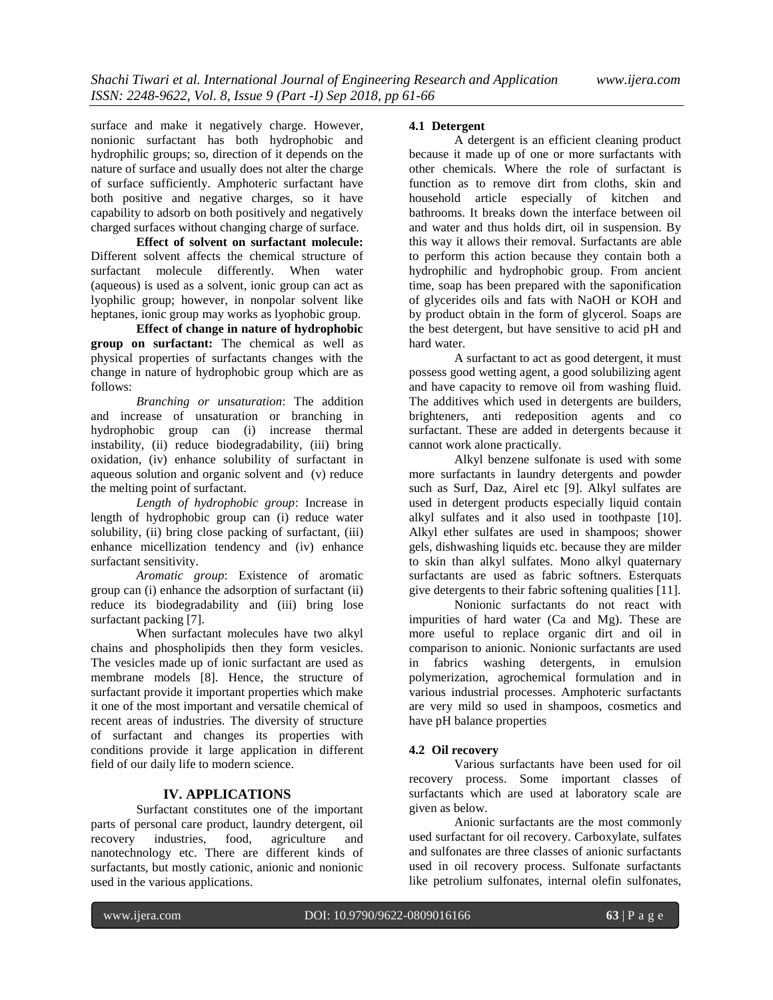surface and make it negatively charge. However, nonionic surfactant has both hydrophobic and hydrophilic groups; so, direction of it depends on the nature of surface and usually does not alter the charge of surface sufficiently. Amphoteric surfactant have both positive and negative charges, so it have capability to adsorb on both positively and negatively charged surfaces without changing charge of surface.

**Effect of solvent on surfactant molecule:** Different solvent affects the chemical structure of surfactant molecule differently. When water (aqueous) is used as a solvent, ionic group can act as lyophilic group; however, in nonpolar solvent like heptanes, ionic group may works as lyophobic group.

**Effect of change in nature of hydrophobic group on surfactant:** The chemical as well as physical properties of surfactants changes with the change in nature of hydrophobic group which are as follows:

*Branching or unsaturation*: The addition and increase of unsaturation or branching in hydrophobic group can (i) increase thermal instability, (ii) reduce biodegradability, (iii) bring oxidation, (iv) enhance solubility of surfactant in aqueous solution and organic solvent and (v) reduce the melting point of surfactant.

*Length of hydrophobic group*: Increase in length of hydrophobic group can (i) reduce water solubility, (ii) bring close packing of surfactant, (iii) enhance micellization tendency and (iv) enhance surfactant sensitivity.

*Aromatic group*: Existence of aromatic group can (i) enhance the adsorption of surfactant (ii) reduce its biodegradability and (iii) bring lose surfactant packing [7].

When surfactant molecules have two alkyl chains and phospholipids then they form vesicles. The vesicles made up of ionic surfactant are used as membrane models [8]. Hence, the structure of surfactant provide it important properties which make it one of the most important and versatile chemical of recent areas of industries. The diversity of structure of surfactant and changes its properties with conditions provide it large application in different field of our daily life to modern science.

# **IV. APPLICATIONS**

Surfactant constitutes one of the important parts of personal care product, laundry detergent, oil recovery industries, food, agriculture and nanotechnology etc. There are different kinds of surfactants, but mostly cationic, anionic and nonionic used in the various applications.

#### **4.1 Detergent**

A detergent is an efficient cleaning product because it made up of one or more surfactants with other chemicals. Where the role of surfactant is function as to remove dirt from cloths, skin and household article especially of kitchen and bathrooms. It breaks down the interface between oil and water and thus holds dirt, oil in suspension. By this way it allows their removal. Surfactants are able to perform this action because they contain both a hydrophilic and hydrophobic group. From ancient time, soap has been prepared with the saponification of glycerides oils and fats with NaOH or KOH and by product obtain in the form of glycerol. Soaps are the best detergent, but have sensitive to acid pH and hard water.

A surfactant to act as good detergent, it must possess good wetting agent, a good solubilizing agent and have capacity to remove oil from washing fluid. The additives which used in detergents are builders, brighteners, anti redeposition agents and co surfactant. These are added in detergents because it cannot work alone practically.

Alkyl benzene sulfonate is used with some more surfactants in laundry detergents and powder such as Surf, Daz, Airel etc [9]. Alkyl sulfates are used in detergent products especially liquid contain alkyl sulfates and it also used in toothpaste [10]. Alkyl ether sulfates are used in shampoos; shower gels, dishwashing liquids etc. because they are milder to skin than alkyl sulfates. Mono alkyl quaternary surfactants are used as fabric softners. Esterquats give detergents to their fabric softening qualities [11].

Nonionic surfactants do not react with impurities of hard water (Ca and Mg). These are more useful to replace organic dirt and oil in comparison to anionic. Nonionic surfactants are used in fabrics washing detergents, in emulsion polymerization, agrochemical formulation and in various industrial processes. Amphoteric surfactants are very mild so used in shampoos, cosmetics and have pH balance properties

# **4.2 Oil recovery**

Various surfactants have been used for oil recovery process. Some important classes of surfactants which are used at laboratory scale are given as below.

Anionic surfactants are the most commonly used surfactant for oil recovery. Carboxylate, sulfates and sulfonates are three classes of anionic surfactants used in oil recovery process. Sulfonate surfactants like petrolium sulfonates, internal olefin sulfonates,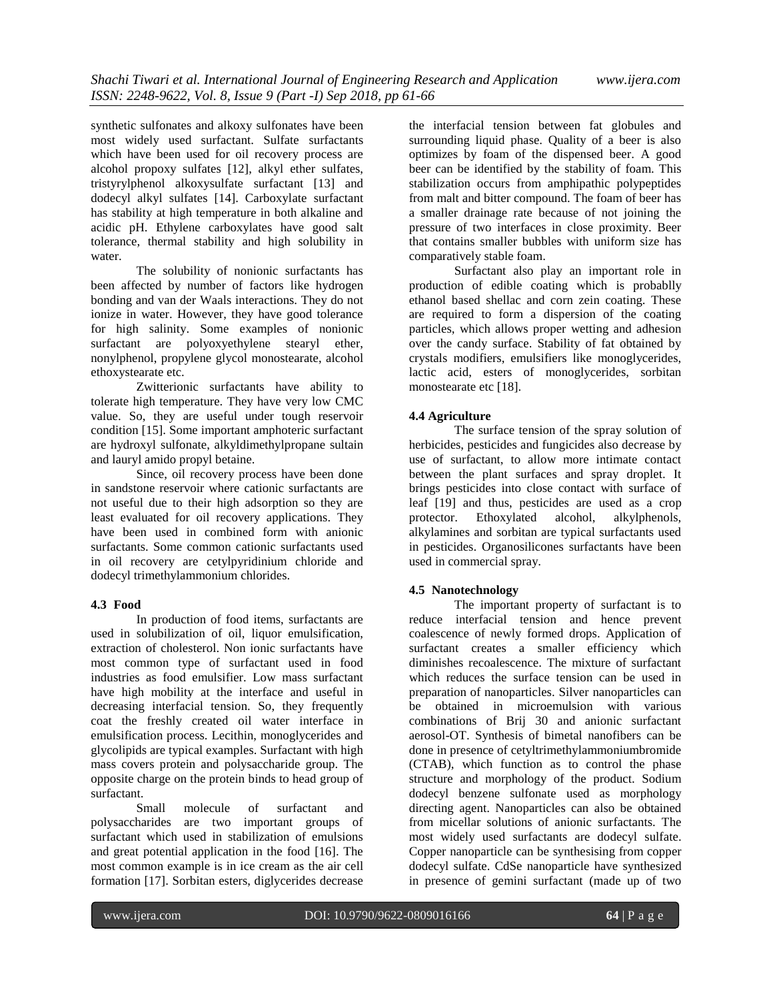synthetic sulfonates and alkoxy sulfonates have been most widely used surfactant. Sulfate surfactants which have been used for oil recovery process are alcohol propoxy sulfates [12], alkyl ether sulfates, tristyrylphenol alkoxysulfate surfactant [13] and dodecyl alkyl sulfates [14]. Carboxylate surfactant has stability at high temperature in both alkaline and acidic pH. Ethylene carboxylates have good salt tolerance, thermal stability and high solubility in water.

The solubility of nonionic surfactants has been affected by number of factors like hydrogen bonding and van der Waals interactions. They do not ionize in water. However, they have good tolerance for high salinity. Some examples of nonionic surfactant are polyoxyethylene stearyl ether, nonylphenol, propylene glycol monostearate, alcohol ethoxystearate etc.

Zwitterionic surfactants have ability to tolerate high temperature. They have very low CMC value. So, they are useful under tough reservoir condition [15]. Some important amphoteric surfactant are hydroxyl sulfonate, alkyldimethylpropane sultain and lauryl amido propyl betaine.

Since, oil recovery process have been done in sandstone reservoir where cationic surfactants are not useful due to their high adsorption so they are least evaluated for oil recovery applications. They have been used in combined form with anionic surfactants. Some common cationic surfactants used in oil recovery are cetylpyridinium chloride and dodecyl trimethylammonium chlorides.

#### **4.3 Food**

In production of food items, surfactants are used in solubilization of oil, liquor emulsification, extraction of cholesterol. Non ionic surfactants have most common type of surfactant used in food industries as food emulsifier. Low mass surfactant have high mobility at the interface and useful in decreasing interfacial tension. So, they frequently coat the freshly created oil water interface in emulsification process. Lecithin, monoglycerides and glycolipids are typical examples. Surfactant with high mass covers protein and polysaccharide group. The opposite charge on the protein binds to head group of surfactant.

Small molecule of surfactant and polysaccharides are two important groups of surfactant which used in stabilization of emulsions and great potential application in the food [16]. The most common example is in ice cream as the air cell formation [17]. Sorbitan esters, diglycerides decrease

the interfacial tension between fat globules and surrounding liquid phase. Quality of a beer is also optimizes by foam of the dispensed beer. A good beer can be identified by the stability of foam. This stabilization occurs from amphipathic polypeptides from malt and bitter compound. The foam of beer has a smaller drainage rate because of not joining the pressure of two interfaces in close proximity. Beer that contains smaller bubbles with uniform size has comparatively stable foam.

Surfactant also play an important role in production of edible coating which is probablly ethanol based shellac and corn zein coating. These are required to form a dispersion of the coating particles, which allows proper wetting and adhesion over the candy surface. Stability of fat obtained by crystals modifiers, emulsifiers like monoglycerides, lactic acid, esters of monoglycerides, sorbitan monostearate etc [18].

#### **4.4 Agriculture**

The surface tension of the spray solution of herbicides, pesticides and fungicides also decrease by use of surfactant, to allow more intimate contact between the plant surfaces and spray droplet. It brings pesticides into close contact with surface of leaf [19] and thus, pesticides are used as a crop protector. Ethoxylated alcohol, alkylphenols, alkylamines and sorbitan are typical surfactants used in pesticides. Organosilicones surfactants have been used in commercial spray.

### **4.5 Nanotechnology**

The important property of surfactant is to reduce interfacial tension and hence prevent coalescence of newly formed drops. Application of surfactant creates a smaller efficiency which diminishes recoalescence. The mixture of surfactant which reduces the surface tension can be used in preparation of nanoparticles. Silver nanoparticles can be obtained in microemulsion with various combinations of Brij 30 and anionic surfactant aerosol-OT. Synthesis of bimetal nanofibers can be done in presence of cetyltrimethylammoniumbromide (CTAB), which function as to control the phase structure and morphology of the product. Sodium dodecyl benzene sulfonate used as morphology directing agent. Nanoparticles can also be obtained from micellar solutions of anionic surfactants. The most widely used surfactants are dodecyl sulfate. Copper nanoparticle can be synthesising from copper dodecyl sulfate. CdSe nanoparticle have synthesized in presence of gemini surfactant (made up of two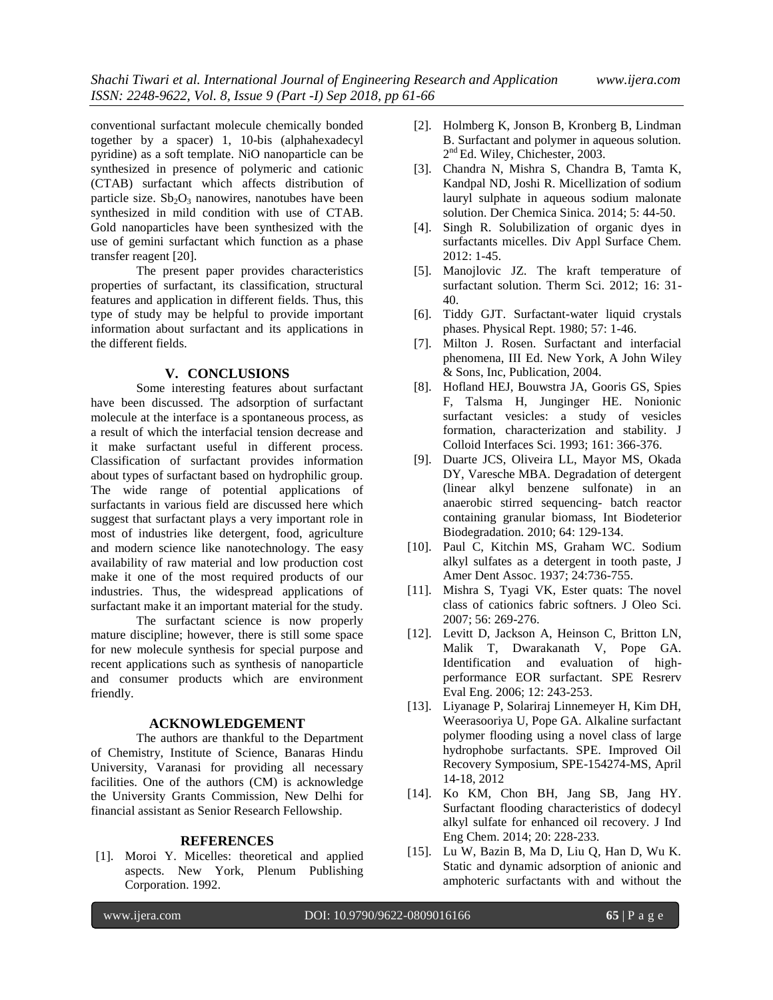conventional surfactant molecule chemically bonded together by a spacer) 1, 10-bis (alphahexadecyl pyridine) as a soft template. NiO nanoparticle can be synthesized in presence of polymeric and cationic (CTAB) surfactant which affects distribution of particle size.  $Sb<sub>2</sub>O<sub>3</sub>$  nanowires, nanotubes have been synthesized in mild condition with use of CTAB. Gold nanoparticles have been synthesized with the use of gemini surfactant which function as a phase transfer reagent [20].

The present paper provides characteristics properties of surfactant, its classification, structural features and application in different fields. Thus, this type of study may be helpful to provide important information about surfactant and its applications in the different fields.

#### **V. CONCLUSIONS**

Some interesting features about surfactant have been discussed. The adsorption of surfactant molecule at the interface is a spontaneous process, as a result of which the interfacial tension decrease and it make surfactant useful in different process. Classification of surfactant provides information about types of surfactant based on hydrophilic group. The wide range of potential applications of surfactants in various field are discussed here which suggest that surfactant plays a very important role in most of industries like detergent, food, agriculture and modern science like nanotechnology. The easy availability of raw material and low production cost make it one of the most required products of our industries. Thus, the widespread applications of surfactant make it an important material for the study.

The surfactant science is now properly mature discipline; however, there is still some space for new molecule synthesis for special purpose and recent applications such as synthesis of nanoparticle and consumer products which are environment friendly.

#### **ACKNOWLEDGEMENT**

The authors are thankful to the Department of Chemistry, Institute of Science, Banaras Hindu University, Varanasi for providing all necessary facilities. One of the authors (CM) is acknowledge the University Grants Commission, New Delhi for financial assistant as Senior Research Fellowship.

#### **REFERENCES**

[1]. Moroi Y. Micelles: theoretical and applied aspects. New York, Plenum Publishing Corporation. 1992.

- [2]. Holmberg K, Jonson B, Kronberg B, Lindman B. Surfactant and polymer in aqueous solution. 2<sup>nd</sup> Ed. Wiley, Chichester, 2003.
- [3]. Chandra N, Mishra S, Chandra B, Tamta K, Kandpal ND, Joshi R. Micellization of sodium lauryl sulphate in aqueous sodium malonate solution. Der Chemica Sinica. 2014; 5: 44-50.
- [4]. Singh R. Solubilization of organic dyes in surfactants micelles. Div Appl Surface Chem. 2012: 1-45.
- [5]. Manojlovic JZ. The kraft temperature of surfactant solution. Therm Sci. 2012; 16: 31- 40.
- [6]. Tiddy GJT. Surfactant-water liquid crystals phases. Physical Rept. 1980; 57: 1-46.
- [7]. Milton J. Rosen. Surfactant and interfacial phenomena, III Ed. New York, A John Wiley & Sons, Inc, Publication, 2004.
- [8]. Hofland HEJ, Bouwstra JA, Gooris GS, Spies F, Talsma H, Junginger HE. Nonionic surfactant vesicles: a study of vesicles formation, characterization and stability. J Colloid Interfaces Sci. 1993; 161: 366-376.
- [9]. Duarte JCS, Oliveira LL, Mayor MS, Okada DY, Varesche MBA. Degradation of detergent (linear alkyl benzene sulfonate) in an anaerobic stirred sequencing- batch reactor containing granular biomass, Int Biodeterior Biodegradation. 2010; 64: 129-134.
- [10]. Paul C, Kitchin MS, Graham WC. Sodium alkyl sulfates as a detergent in tooth paste, J Amer Dent Assoc. 1937; 24:736-755.
- [11]. Mishra S, Tyagi VK, Ester quats: The novel class of cationics fabric softners. J Oleo Sci. 2007; 56: 269-276.
- [12]. Levitt D, Jackson A, Heinson C, Britton LN, Malik T, Dwarakanath V, Pope GA. Identification and evaluation of highperformance EOR surfactant. SPE Resrerv Eval Eng. 2006; 12: 243-253.
- [13]. Liyanage P, Solariraj Linnemeyer H, Kim DH, Weerasooriya U, Pope GA. Alkaline surfactant polymer flooding using a novel class of large hydrophobe surfactants. SPE. Improved Oil Recovery Symposium, SPE-154274-MS, April 14-18, 2012
- [14]. Ko KM, Chon BH, Jang SB, Jang HY. Surfactant flooding characteristics of dodecyl alkyl sulfate for enhanced oil recovery. J Ind Eng Chem. 2014; 20: 228-233.
- [15]. Lu W, Bazin B, Ma D, Liu Q, Han D, Wu K. Static and dynamic adsorption of anionic and amphoteric surfactants with and without the